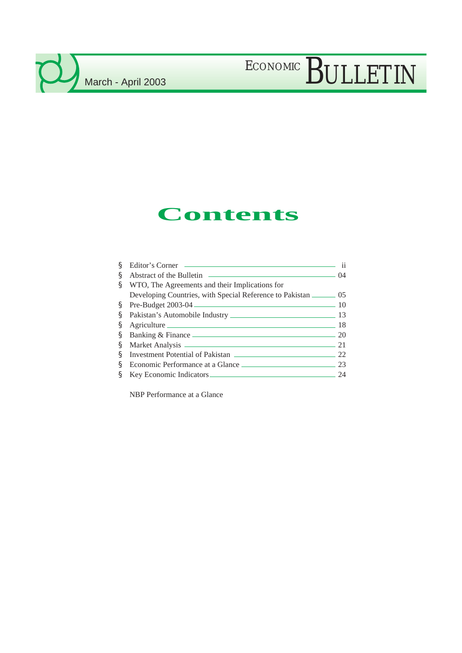### **Contents**

| ş  | Editor's Corner                                                         | $\mathbf{ii}$ |
|----|-------------------------------------------------------------------------|---------------|
| ş  |                                                                         |               |
| ş  | WTO, The Agreements and their Implications for                          |               |
|    | Developing Countries, with Special Reference to Pakistan <u>____</u> 05 |               |
|    | S Pre-Budget 2003-04 2003-04                                            |               |
| S. | Pakistan's Automobile Industry 2008 2014                                |               |
| S  | Agriculture 18                                                          |               |
| S. | Banking & Finance 20                                                    |               |
| §. | Market Analysis 21                                                      |               |
| ş  | Investment Potential of Pakistan ———————————————————— 22                |               |
| ş  |                                                                         |               |
|    | § Key Economic Indicators                                               | 24            |

NBP Performance at a Glance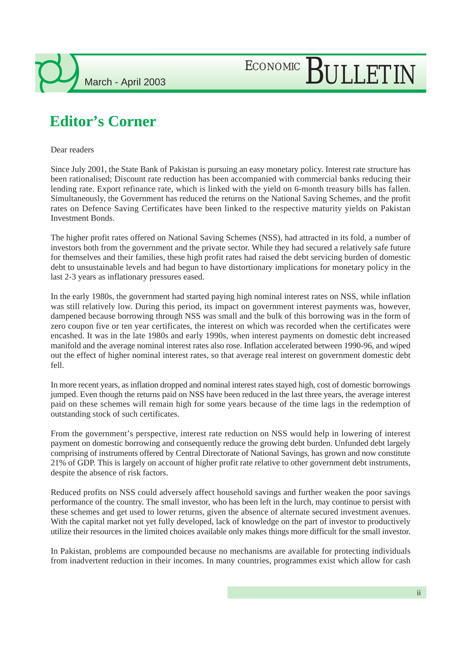### **Editor's Corner**

Dear readers

Since July 2001, the State Bank of Pakistan is pursuing an easy monetary policy. Interest rate structure has been rationalised; Discount rate reduction has been accompanied with commercial banks reducing their lending rate. Export refinance rate, which is linked with the yield on 6-month treasury bills has fallen. Simultaneously, the Government has reduced the returns on the National Saving Schemes, and the profit rates on Defence Saving Certificates have been linked to the respective maturity yields on Pakistan Investment Bonds.

The higher profit rates offered on National Saving Schemes (NSS), had attracted in its fold, a number of investors both from the government and the private sector. While they had secured a relatively safe future for themselves and their families, these high profit rates had raised the debt servicing burden of domestic debt to unsustainable levels and had begun to have distortionary implications for monetary policy in the last 2-3 years as inflationary pressures eased.

In the early 1980s, the government had started paying high nominal interest rates on NSS, while inflation was still relatively low. During this period, its impact on government interest payments was, however, dampened because borrowing through NSS was small and the bulk of this borrowing was in the form of zero coupon five or ten year certificates, the interest on which was recorded when the certificates were encashed. It was in the late 1980s and early 1990s, when interest payments on domestic debt increased manifold and the average nominal interest rates also rose. Inflation accelerated between 1990-96, and wiped out the effect of higher nominal interest rates, so that average real interest on government domestic debt fell.

In more recent years, as inflation dropped and nominal interest rates stayed high, cost of domestic borrowings jumped. Even though the returns paid on NSS have been reduced in the last three years, the average interest paid on these schemes will remain high for some years because of the time lags in the redemption of outstanding stock of such certificates.

From the government's perspective, interest rate reduction on NSS would help in lowering of interest payment on domestic borrowing and consequently reduce the growing debt burden. Unfunded debt largely comprising of instruments offered by Central Directorate of National Savings, has grown and now constitute 21% of GDP. This is largely on account of higher profit rate relative to other government debt instruments, despite the absence of risk factors.

Reduced profits on NSS could adversely affect household savings and further weaken the poor savings performance of the country. The small investor, who has been left in the lurch, may continue to persist with these schemes and get used to lower returns, given the absence of alternate secured investment avenues. With the capital market not yet fully developed, lack of knowledge on the part of investor to productively utilize their resources in the limited choices available only makes things more difficult for the small investor.

In Pakistan, problems are compounded because no mechanisms are available for protecting individuals from inadvertent reduction in their incomes. In many countries, programmes exist which allow for cash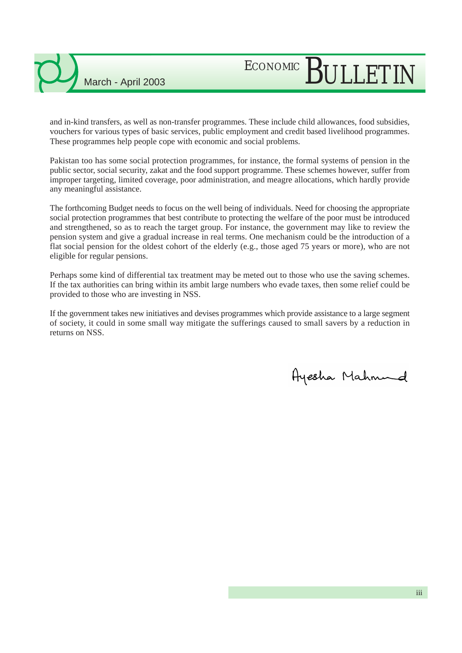# ECONOMIC BULLETIN

and in-kind transfers, as well as non-transfer programmes. These include child allowances, food subsidies, vouchers for various types of basic services, public employment and credit based livelihood programmes. These programmes help people cope with economic and social problems.

Pakistan too has some social protection programmes, for instance, the formal systems of pension in the public sector, social security, zakat and the food support programme. These schemes however, suffer from improper targeting, limited coverage, poor administration, and meagre allocations, which hardly provide any meaningful assistance.

The forthcoming Budget needs to focus on the well being of individuals. Need for choosing the appropriate social protection programmes that best contribute to protecting the welfare of the poor must be introduced and strengthened, so as to reach the target group. For instance, the government may like to review the pension system and give a gradual increase in real terms. One mechanism could be the introduction of a flat social pension for the oldest cohort of the elderly (e.g., those aged 75 years or more), who are not eligible for regular pensions.

Perhaps some kind of differential tax treatment may be meted out to those who use the saving schemes. If the tax authorities can bring within its ambit large numbers who evade taxes, then some relief could be provided to those who are investing in NSS.

If the government takes new initiatives and devises programmes which provide assistance to a large segment of society, it could in some small way mitigate the sufferings caused to small savers by a reduction in returns on NSS.

Ayesha Mahnund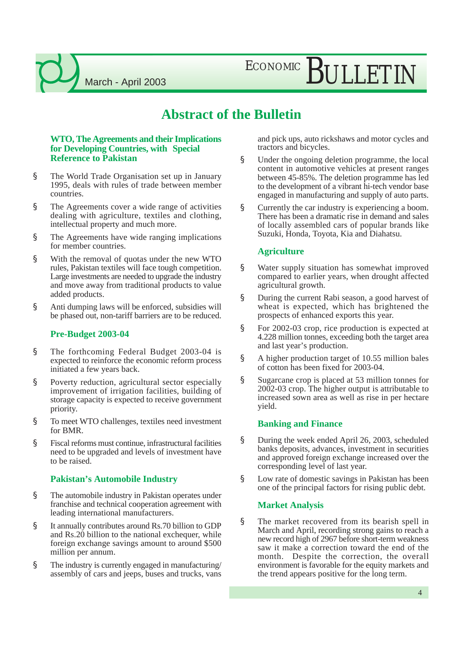ECONOMIC BULLETIN

#### **Abstract of the Bulletin**

#### **WTO, The Agreements and their Implications for Developing Countries, with Special Reference to Pakistan**

- § The World Trade Organisation set up in January 1995, deals with rules of trade between member countries.
- § The Agreements cover a wide range of activities dealing with agriculture, textiles and clothing, intellectual property and much more.
- § The Agreements have wide ranging implications for member countries.
- § With the removal of quotas under the new WTO rules, Pakistan textiles will face tough competition. Large investments are needed to upgrade the industry and move away from traditional products to value added products.
- § Anti dumping laws will be enforced, subsidies will be phased out, non-tariff barriers are to be reduced.

#### **Pre-Budget 2003-04**

- § The forthcoming Federal Budget 2003-04 is expected to reinforce the economic reform process initiated a few years back.
- § Poverty reduction, agricultural sector especially improvement of irrigation facilities, building of storage capacity is expected to receive government priority.
- § To meet WTO challenges, textiles need investment for BMR.
- § Fiscal reforms must continue, infrastructural facilities need to be upgraded and levels of investment have to be raised.

#### **Pakistan's Automobile Industry**

- § The automobile industry in Pakistan operates under franchise and technical cooperation agreement with leading international manufacturers.
- § It annually contributes around Rs.70 billion to GDP and Rs.20 billion to the national exchequer, while foreign exchange savings amount to around \$500 million per annum.
- § The industry is currently engaged in manufacturing/ assembly of cars and jeeps, buses and trucks, vans

and pick ups, auto rickshaws and motor cycles and tractors and bicycles.

- § Under the ongoing deletion programme, the local content in automotive vehicles at present ranges between 45-85%. The deletion programme has led to the development of a vibrant hi-tech vendor base engaged in manufacturing and supply of auto parts.
- § Currently the car industry is experiencing a boom. There has been a dramatic rise in demand and sales of locally assembled cars of popular brands like Suzuki, Honda, Toyota, Kia and Diahatsu.

#### **Agriculture**

- § Water supply situation has somewhat improved compared to earlier years, when drought affected agricultural growth.
- § During the current Rabi season, a good harvest of wheat is expected, which has brightened the prospects of enhanced exports this year.
- § For 2002-03 crop, rice production is expected at 4.228 million tonnes, exceeding both the target area and last year's production.
- § A higher production target of 10.55 million bales of cotton has been fixed for 2003-04.
- § Sugarcane crop is placed at 53 million tonnes for 2002-03 crop. The higher output is attributable to increased sown area as well as rise in per hectare yield.

#### **Banking and Finance**

- § During the week ended April 26, 2003, scheduled banks deposits, advances, investment in securities and approved foreign exchange increased over the corresponding level of last year.
- § Low rate of domestic savings in Pakistan has been one of the principal factors for rising public debt.

#### **Market Analysis**

§ The market recovered from its bearish spell in March and April, recording strong gains to reach a new record high of 2967 before short-term weakness saw it make a correction toward the end of the month. Despite the correction, the overall environment is favorable for the equity markets and the trend appears positive for the long term.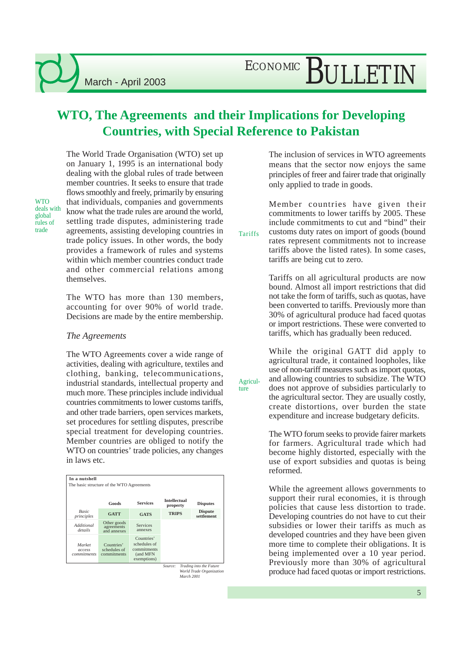#### **WTO, The Agreements and their Implications for Developing Countries, with Special Reference to Pakistan**

The World Trade Organisation (WTO) set up on January 1, 1995 is an international body dealing with the global rules of trade between member countries. It seeks to ensure that trade flows smoothly and freely, primarily by ensuring that individuals, companies and governments know what the trade rules are around the world, settling trade disputes, administering trade trade agreements, assisting developing countries in Tariffs trade policy issues. In other words, the body provides a framework of rules and systems within which member countries conduct trade and other commercial relations among themselves.

> The WTO has more than 130 members, accounting for over 90% of world trade. Decisions are made by the entire membership.

#### *The Agreements*

The WTO Agreements cover a wide range of activities, dealing with agriculture, textiles and clothing, banking, telecommunications, industrial standards, intellectual property and much more. These principles include individual countries commitments to lower customs tariffs, and other trade barriers, open services markets, set procedures for settling disputes, prescribe special treatment for developing countries. Member countries are obliged to notify the WTO on countries' trade policies, any changes in laws etc.

| In a nutshell                             |                                           |                                                                      |                                 |                              |  |  |  |  |
|-------------------------------------------|-------------------------------------------|----------------------------------------------------------------------|---------------------------------|------------------------------|--|--|--|--|
| The basic structure of the WTO Agreements |                                           |                                                                      |                                 |                              |  |  |  |  |
|                                           | Goods                                     | <b>Services</b>                                                      | <b>Intellectual</b><br>property | <b>Disputes</b>              |  |  |  |  |
| <b>Basic</b><br>principles                | <b>GATT</b>                               | <b>GATS</b>                                                          | <b>TRIPS</b>                    | <b>Dispute</b><br>settlement |  |  |  |  |
| Additional<br>details                     | Other goods<br>agreements<br>and annexes  | Services<br>annexes                                                  |                                 |                              |  |  |  |  |
| Market<br>access<br>commitments           | Countries'<br>schedules of<br>commitments | Countries'<br>schedules of<br>commitments<br>(and MFN<br>exemptions) |                                 |                              |  |  |  |  |
|                                           |                                           |                                                                      | Source:                         | Trading into the Future      |  |  |  |  |

*World Trade Organization March 2001*

The inclusion of services in WTO agreements means that the sector now enjoys the same principles of freer and fairer trade that originally only applied to trade in goods.

Member countries have given their commitments to lower tariffs by 2005. These include commitments to cut and "bind" their

Agriculture

customs duty rates on import of goods (bound rates represent commitments not to increase tariffs above the listed rates). In some cases, tariffs are being cut to zero.

Tariffs on all agricultural products are now bound. Almost all import restrictions that did not take the form of tariffs, such as quotas, have been converted to tariffs. Previously more than 30% of agricultural produce had faced quotas or import restrictions. These were converted to tariffs, which has gradually been reduced.

While the original GATT did apply to agricultural trade, it contained loopholes, like use of non-tariff measures such as import quotas, and allowing countries to subsidize. The WTO does not approve of subsidies particularly to the agricultural sector. They are usually costly, create distortions, over burden the state expenditure and increase budgetary deficits.

The WTO forum seeks to provide fairer markets for farmers. Agricultural trade which had become highly distorted, especially with the use of export subsidies and quotas is being reformed.

While the agreement allows governments to support their rural economies, it is through policies that cause less distortion to trade. Developing countries do not have to cut their subsidies or lower their tariffs as much as developed countries and they have been given more time to complete their obligations. It is being implemented over a 10 year period. Previously more than 30% of agricultural produce had faced quotas or import restrictions.

deals with global rules of

**WTO**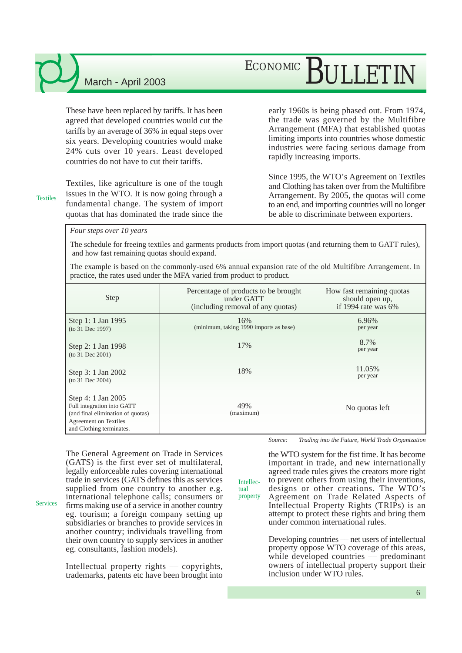## ECONOMIC BULLETIN

These have been replaced by tariffs. It has been agreed that developed countries would cut the tariffs by an average of 36% in equal steps over six years. Developing countries would make 24% cuts over 10 years. Least developed countries do not have to cut their tariffs.

Textiles

Textiles, like agriculture is one of the tough issues in the WTO. It is now going through a fundamental change. The system of import quotas that has dominated the trade since the

early 1960s is being phased out. From 1974, the trade was governed by the Multifibre Arrangement (MFA) that established quotas limiting imports into countries whose domestic industries were facing serious damage from rapidly increasing imports.

Since 1995, the WTO's Agreement on Textiles and Clothing has taken over from the Multifibre Arrangement. By 2005, the quotas will come to an end, and importing countries will no longer be able to discriminate between exporters.

*Four steps over 10 years*

The schedule for freeing textiles and garments products from import quotas (and returning them to GATT rules), and how fast remaining quotas should expand.

The example is based on the commonly-used 6% annual expansion rate of the old Multifibre Arrangement. In practice, the rates used under the MFA varied from product to product.

| Step                                                                                                                                              | Percentage of products to be brought<br>under GATT<br>(including removal of any quotas) | How fast remaining quotas<br>should open up,<br>if 1994 rate was 6% |
|---------------------------------------------------------------------------------------------------------------------------------------------------|-----------------------------------------------------------------------------------------|---------------------------------------------------------------------|
| Step 1: 1 Jan 1995<br>(to 31 Dec 1997)                                                                                                            | 16%<br>(minimum, taking 1990 imports as base)                                           | 6.96%<br>per year                                                   |
| Step 2: 1 Jan 1998<br>(to 31 Dec 2001)                                                                                                            | 17%                                                                                     | 8.7%<br>per year                                                    |
| Step 3: 1 Jan 2002<br>(to 31 Dec 2004)                                                                                                            | 18%                                                                                     | 11.05%<br>per year                                                  |
| Step 4: 1 Jan 2005<br>Full integration into GATT<br>(and final elimination of quotas)<br><b>Agreement on Textiles</b><br>and Clothing terminates. | 49%<br>(maximum)                                                                        | No quotas left                                                      |

Intellectual property

The General Agreement on Trade in Services (GATS) is the first ever set of multilateral, legally enforceable rules covering international trade in services (GATS defines this as services supplied from one country to another e.g. international telephone calls; consumers or

**Services** 

firms making use of a service in another country eg. tourism; a foreign company setting up subsidiaries or branches to provide services in another country; individuals travelling from their own country to supply services in another eg. consultants, fashion models).

Intellectual property rights –– copyrights, trademarks, patents etc have been brought into *Source: Trading into the Future, World Trade Organization*

the WTO system for the fist time. It has become important in trade, and new internationally agreed trade rules gives the creators more right to prevent others from using their inventions, designs or other creations. The WTO's Agreement on Trade Related Aspects of Intellectual Property Rights (TRIPs) is an attempt to protect these rights and bring them under common international rules.

Developing countries –– net users of intellectual property oppose WTO coverage of this areas, while developed countries — predominant owners of intellectual property support their inclusion under WTO rules.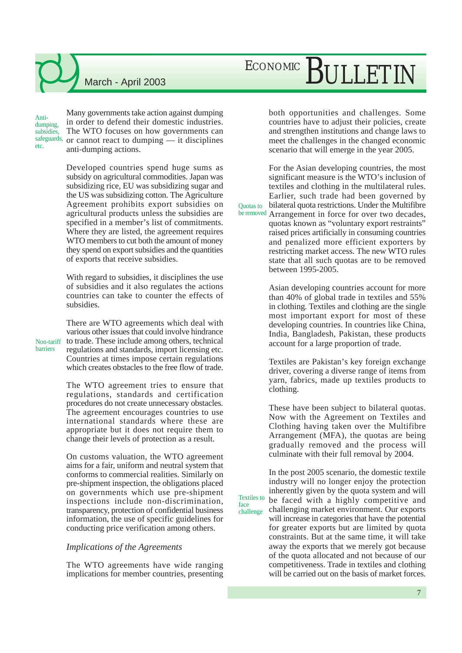# ECONOMIC BULLETIN

Many governments take action against dumping in order to defend their domestic industries. The WTO focuses on how governments can or cannot react to dumping –– it disciplines anti-dumping actions. Antidumping subsidies, safeguards,

> Developed countries spend huge sums as subsidy on agricultural commodities. Japan was subsidizing rice, EU was subsidizing sugar and the US was subsidizing cotton. The Agriculture Agreement prohibits export subsidies on agricultural products unless the subsidies are specified in a member's list of commitments. Where they are listed, the agreement requires WTO members to cut both the amount of money they spend on export subsidies and the quantities of exports that receive subsidies.

> With regard to subsidies, it disciplines the use of subsidies and it also regulates the actions countries can take to counter the effects of subsidies.

There are WTO agreements which deal with various other issues that could involve hindrance to trade. These include among others, technical regulations and standards, import licensing etc. Countries at times impose certain regulations which creates obstacles to the free flow of trade. Non-tariff

> The WTO agreement tries to ensure that regulations, standards and certification procedures do not create unnecessary obstacles. The agreement encourages countries to use international standards where these are appropriate but it does not require them to change their levels of protection as a result.

> On customs valuation, the WTO agreement aims for a fair, uniform and neutral system that conforms to commercial realities. Similarly on pre-shipment inspection, the obligations placed on governments which use pre-shipment inspections include non-discrimination, transparency, protection of confidential business information, the use of specific guidelines for conducting price verification among others.

#### *Implications of the Agreements*

The WTO agreements have wide ranging implications for member countries, presenting both opportunities and challenges. Some countries have to adjust their policies, create and strengthen institutions and change laws to meet the challenges in the changed economic scenario that will emerge in the year 2005.

For the Asian developing countries, the most significant measure is the WTO's inclusion of textiles and clothing in the multilateral rules. Earlier, such trade had been governed by bilateral quota restrictions. Under the Multifibre be removed Arrangement in force for over two decades, quotas known as "voluntary export restraints" raised prices artificially in consuming countries and penalized more efficient exporters by restricting market access. The new WTO rules state that all such quotas are to be removed between 1995-2005. Quotas to

> Asian developing countries account for more than 40% of global trade in textiles and 55% in clothing. Textiles and clothing are the single most important export for most of these developing countries. In countries like China, India, Bangladesh, Pakistan, these products account for a large proportion of trade.

> Textiles are Pakistan's key foreign exchange driver, covering a diverse range of items from yarn, fabrics, made up textiles products to clothing.

> These have been subject to bilateral quotas. Now with the Agreement on Textiles and Clothing having taken over the Multifibre Arrangement (MFA), the quotas are being gradually removed and the process will culminate with their full removal by 2004.

> In the post 2005 scenario, the domestic textile industry will no longer enjoy the protection inherently given by the quota system and will be faced with a highly competitive and challenging market environment. Our exports will increase in categories that have the potential for greater exports but are limited by quota constraints. But at the same time, it will take away the exports that we merely got because of the quota allocated and not because of our competitiveness. Trade in textiles and clothing will be carried out on the basis of market forces.

Textiles to face challenge

barriers

etc.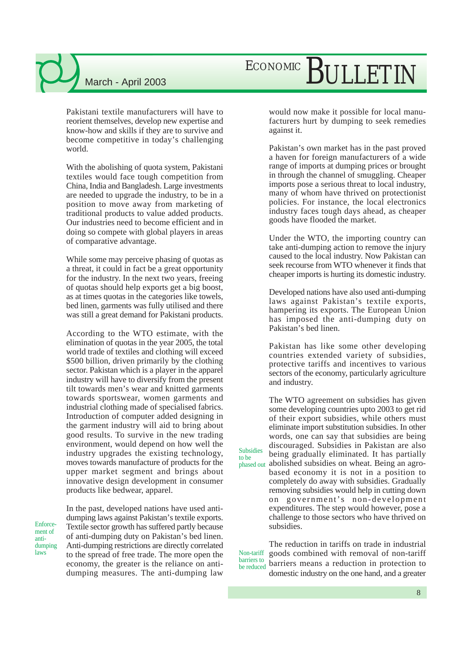Pakistani textile manufacturers will have to reorient themselves, develop new expertise and know-how and skills if they are to survive and become competitive in today's challenging world.

With the abolishing of quota system, Pakistani textiles would face tough competition from China, India and Bangladesh. Large investments are needed to upgrade the industry, to be in a position to move away from marketing of traditional products to value added products. Our industries need to become efficient and in doing so compete with global players in areas of comparative advantage.

While some may perceive phasing of quotas as a threat, it could in fact be a great opportunity for the industry. In the next two years, freeing of quotas should help exports get a big boost, as at times quotas in the categories like towels, bed linen, garments was fully utilised and there was still a great demand for Pakistani products.

According to the WTO estimate, with the elimination of quotas in the year 2005, the total world trade of textiles and clothing will exceed \$500 billion, driven primarily by the clothing sector. Pakistan which is a player in the apparel industry will have to diversify from the present tilt towards men's wear and knitted garments towards sportswear, women garments and industrial clothing made of specialised fabrics. Introduction of computer added designing in the garment industry will aid to bring about good results. To survive in the new trading environment, would depend on how well the industry upgrades the existing technology, moves towards manufacture of products for the upper market segment and brings about innovative design development in consumer products like bedwear, apparel.

Enforcement of antidumping laws

In the past, developed nations have used antidumping laws against Pakistan's textile exports. Textile sector growth has suffered partly because of anti-dumping duty on Pakistan's bed linen. Anti-dumping restrictions are directly correlated to the spread of free trade. The more open the economy, the greater is the reliance on antidumping measures. The anti-dumping law

# ECONOMIC BULLETIN

would now make it possible for local manufacturers hurt by dumping to seek remedies against it.

Pakistan's own market has in the past proved a haven for foreign manufacturers of a wide range of imports at dumping prices or brought in through the channel of smuggling. Cheaper imports pose a serious threat to local industry, many of whom have thrived on protectionist policies. For instance, the local electronics industry faces tough days ahead, as cheaper goods have flooded the market.

Under the WTO, the importing country can take anti-dumping action to remove the injury caused to the local industry. Now Pakistan can seek recourse from WTO whenever it finds that cheaper imports is hurting its domestic industry.

Developed nations have also used anti-dumping laws against Pakistan's textile exports, hampering its exports. The European Union has imposed the anti-dumping duty on Pakistan's bed linen.

Pakistan has like some other developing countries extended variety of subsidies, protective tariffs and incentives to various sectors of the economy, particularly agriculture and industry.

The WTO agreement on subsidies has given some developing countries upto 2003 to get rid of their export subsidies, while others must eliminate import substitution subsidies. In other words, one can say that subsidies are being discouraged. Subsidies in Pakistan are also being gradually eliminated. It has partially abolished subsidies on wheat. Being an agrobased economy it is not in a position to completely do away with subsidies. Gradually removing subsidies would help in cutting down on government's non-development expenditures. The step would however, pose a challenge to those sectors who have thrived on subsidies. phased out

Subsidies to be

The reduction in tariffs on trade in industrial goods combined with removal of non-tariff barriers means a reduction in protection to domestic industry on the one hand, and a greater Non-tariff barriers to be reduced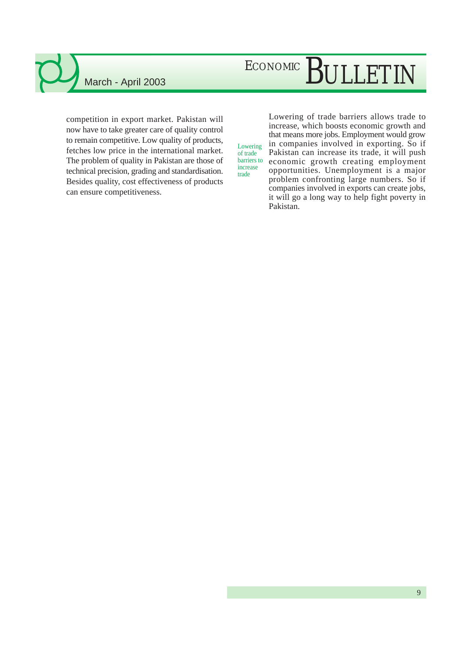# ECONOMIC BULLETIN

competition in export market. Pakistan will now have to take greater care of quality control to remain competitive. Low quality of products, fetches low price in the international market. The problem of quality in Pakistan are those of technical precision, grading and standardisation. Besides quality, cost effectiveness of products can ensure competitiveness.

Lowering of trade barriers to increase trade

Lowering of trade barriers allows trade to increase, which boosts economic growth and that means more jobs. Employment would grow in companies involved in exporting. So if Pakistan can increase its trade, it will push economic growth creating employment opportunities. Unemployment is a major problem confronting large numbers. So if companies involved in exports can create jobs, it will go a long way to help fight poverty in Pakistan.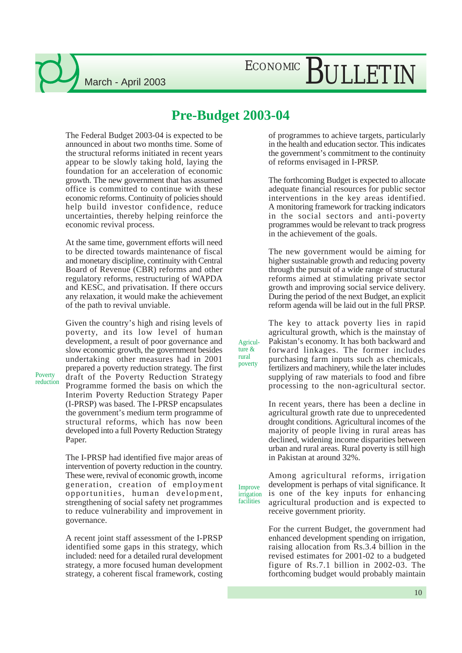## ECONOMIC BULLETIN

#### **Pre-Budget 2003-04**

Agriculture & rural poverty

The Federal Budget 2003-04 is expected to be announced in about two months time. Some of the structural reforms initiated in recent years appear to be slowly taking hold, laying the foundation for an acceleration of economic growth. The new government that has assumed office is committed to continue with these economic reforms. Continuity of policies should help build investor confidence, reduce uncertainties, thereby helping reinforce the economic revival process.

At the same time, government efforts will need to be directed towards maintenance of fiscal and monetary discipline, continuity with Central Board of Revenue (CBR) reforms and other regulatory reforms, restructuring of WAPDA and KESC, and privatisation. If there occurs any relaxation, it would make the achievement of the path to revival unviable.

Given the country's high and rising levels of poverty, and its low level of human development, a result of poor governance and slow economic growth, the government besides undertaking other measures had in 2001 prepared a poverty reduction strategy. The first draft of the Poverty Reduction Strategy Programme formed the basis on which the Interim Poverty Reduction Strategy Paper (I-PRSP) was based. The I-PRSP encapsulates the government's medium term programme of structural reforms, which has now been developed into a full Poverty Reduction Strategy Paper.

The I-PRSP had identified five major areas of intervention of poverty reduction in the country. These were, revival of economic growth, income generation, creation of employment opportunities, human development, strengthening of social safety net programmes to reduce vulnerability and improvement in governance.

A recent joint staff assessment of the I-PRSP identified some gaps in this strategy, which included: need for a detailed rural development strategy, a more focused human development strategy, a coherent fiscal framework, costing

of programmes to achieve targets, particularly in the health and education sector. This indicates the government's commitment to the continuity of reforms envisaged in I-PRSP.

The forthcoming Budget is expected to allocate adequate financial resources for public sector interventions in the key areas identified. A monitoring framework for tracking indicators in the social sectors and anti-poverty programmes would be relevant to track progress in the achievement of the goals.

The new government would be aiming for higher sustainable growth and reducing poverty through the pursuit of a wide range of structural reforms aimed at stimulating private sector growth and improving social service delivery. During the period of the next Budget, an explicit reform agenda will be laid out in the full PRSP.

The key to attack poverty lies in rapid agricultural growth, which is the mainstay of Pakistan's economy. It has both backward and forward linkages. The former includes purchasing farm inputs such as chemicals, fertilizers and machinery, while the later includes supplying of raw materials to food and fibre processing to the non-agricultural sector.

In recent years, there has been a decline in agricultural growth rate due to unprecedented drought conditions. Agricultural incomes of the majority of people living in rural areas has declined, widening income disparities between urban and rural areas. Rural poverty is still high in Pakistan at around 32%.

Improve irrigation facilities Among agricultural reforms, irrigation development is perhaps of vital significance. It is one of the key inputs for enhancing agricultural production and is expected to receive government priority.

> For the current Budget, the government had enhanced development spending on irrigation, raising allocation from Rs.3.4 billion in the revised estimates for 2001-02 to a budgeted figure of Rs.7.1 billion in 2002-03. The forthcoming budget would probably maintain

Poverty reduction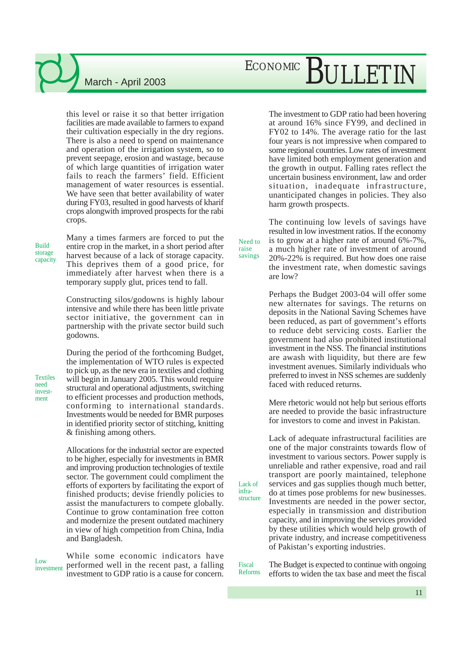this level or raise it so that better irrigation facilities are made available to farmers to expand their cultivation especially in the dry regions. There is also a need to spend on maintenance and operation of the irrigation system, so to prevent seepage, erosion and wastage, because of which large quantities of irrigation water fails to reach the farmers' field. Efficient management of water resources is essential. We have seen that better availability of water during FY03, resulted in good harvests of kharif crops alongwith improved prospects for the rabi crops.

Build storage capacity Many a times farmers are forced to put the entire crop in the market, in a short period after harvest because of a lack of storage capacity. This deprives them of a good price, for immediately after harvest when there is a temporary supply glut, prices tend to fall.

Constructing silos/godowns is highly labour intensive and while there has been little private sector initiative, the government can in partnership with the private sector build such godowns.

During the period of the forthcoming Budget, the implementation of WTO rules is expected to pick up, as the new era in textiles and clothing will begin in January 2005. This would require structural and operational adjustments, switching to efficient processes and production methods, conforming to international standards. Investments would be needed for BMR purposes in identified priority sector of stitching, knitting & finishing among others.

Allocations for the industrial sector are expected to be higher, especially for investments in BMR and improving production technologies of textile sector. The government could compliment the efforts of exporters by facilitating the export of finished products; devise friendly policies to assist the manufacturers to compete globally. Continue to grow contamination free cotton and modernize the present outdated machinery in view of high competition from China, India and Bangladesh.

Low investment

While some economic indicators have performed well in the recent past, a falling investment to GDP ratio is a cause for concern.

# ECONOMIC BULLETIN

The investment to GDP ratio had been hovering at around 16% since FY99, and declined in FY02 to 14%. The average ratio for the last four years is not impressive when compared to some regional countries. Low rates of investment have limited both employment generation and the growth in output. Falling rates reflect the uncertain business environment, law and order situation, inadequate infrastructure, unanticipated changes in policies. They also harm growth prospects.

The continuing low levels of savings have resulted in low investment ratios. If the economy is to grow at a higher rate of around 6%-7%, a much higher rate of investment of around 20%-22% is required. But how does one raise the investment rate, when domestic savings are low?

Perhaps the Budget 2003-04 will offer some new alternates for savings. The returns on deposits in the National Saving Schemes have been reduced, as part of government's efforts to reduce debt servicing costs. Earlier the government had also prohibited institutional investment in the NSS. The financial institutions are awash with liquidity, but there are few investment avenues. Similarly individuals who preferred to invest in NSS schemes are suddenly faced with reduced returns.

Mere rhetoric would not help but serious efforts are needed to provide the basic infrastructure for investors to come and invest in Pakistan.

Lack of adequate infrastructural facilities are one of the major constraints towards flow of investment to various sectors. Power supply is unreliable and rather expensive, road and rail transport are poorly maintained, telephone services and gas supplies though much better, do at times pose problems for new businesses. Investments are needed in the power sector, especially in transmission and distribution capacity, and in improving the services provided by these utilities which would help growth of private industry, and increase competitiveness of Pakistan's exporting industries.

Fiscal Reforms The Budget is expected to continue with ongoing efforts to widen the tax base and meet the fiscal

11

Need to raise savings

> Lack of infrastructure

**Textiles**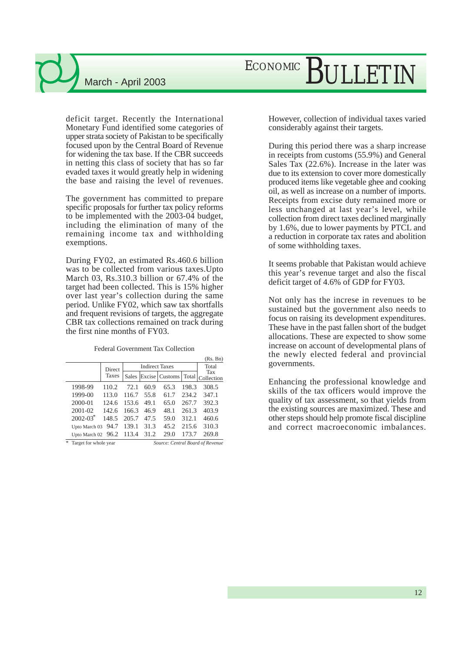## ECONOMIC BULLETIN

deficit target. Recently the International Monetary Fund identified some categories of upper strata society of Pakistan to be specifically focused upon by the Central Board of Revenue for widening the tax base. If the CBR succeeds in netting this class of society that has so far evaded taxes it would greatly help in widening the base and raising the level of revenues.

The government has committed to prepare specific proposals for further tax policy reforms to be implemented with the 2003-04 budget, including the elimination of many of the remaining income tax and withholding exemptions.

During FY02, an estimated Rs.460.6 billion was to be collected from various taxes.Upto March 03, Rs.310.3 billion or 67.4% of the target had been collected. This is 15% higher over last year's collection during the same period. Unlike FY02, which saw tax shortfalls and frequent revisions of targets, the aggregate CBR tax collections remained on track during the first nine months of FY03.

Federal Government Tax Collection

|   |                       |        |       |                       |                |       | (Rs. Bn)                         |
|---|-----------------------|--------|-------|-----------------------|----------------|-------|----------------------------------|
|   |                       | Direct |       | <b>Indirect Taxes</b> |                |       |                                  |
|   |                       | Taxes  | Sales |                       | Excise Customs | Total | Tax<br>Collection                |
|   | 1998-99               | 110.2  | 72.1  | 60.9                  | 65.3           | 198.3 | 308.5                            |
|   | 1999-00               | 113.0  | 116.7 | 55.8                  | 61.7           | 234.2 | 347.1                            |
|   | 2000-01               | 124.6  | 153.6 | 49.1                  | 65.0           | 267.7 | 392.3                            |
|   | 2001-02               | 142.6  | 166.3 | 46.9                  | 48.1           | 261.3 | 403.9                            |
|   | $2002 - 03^*$         | 148.5  | 205.7 | 47.5                  | 59.0           | 312.1 | 460.6                            |
|   | Upto March 03         | 94.7   | 139.1 | 31.3                  | 45.2           | 215.6 | 310.3                            |
|   | Upto March 02         | 96.2   | 113.4 | 31.2                  | 29.0           | 173.7 | 269.8                            |
| * | Target for whole year |        |       |                       |                |       | Source: Central Board of Revenue |

However, collection of individual taxes varied considerably against their targets.

During this period there was a sharp increase in receipts from customs (55.9%) and General Sales Tax (22.6%). Increase in the later was due to its extension to cover more domestically produced items like vegetable ghee and cooking oil, as well as increase on a number of imports. Receipts from excise duty remained more or less unchanged at last year's level, while collection from direct taxes declined marginally by 1.6%, due to lower payments by PTCL and a reduction in corporate tax rates and abolition of some withholding taxes.

It seems probable that Pakistan would achieve this year's revenue target and also the fiscal deficit target of 4.6% of GDP for FY03.

Not only has the increse in revenues to be sustained but the government also needs to focus on raising its development expenditures. These have in the past fallen short of the budget allocations. These are expected to show some increase on account of developmental plans of the newly elected federal and provincial governments.

Enhancing the professional knowledge and skills of the tax officers would improve the quality of tax assessment, so that yields from the existing sources are maximized. These and other steps should help promote fiscal discipline and correct macroeconomic imbalances.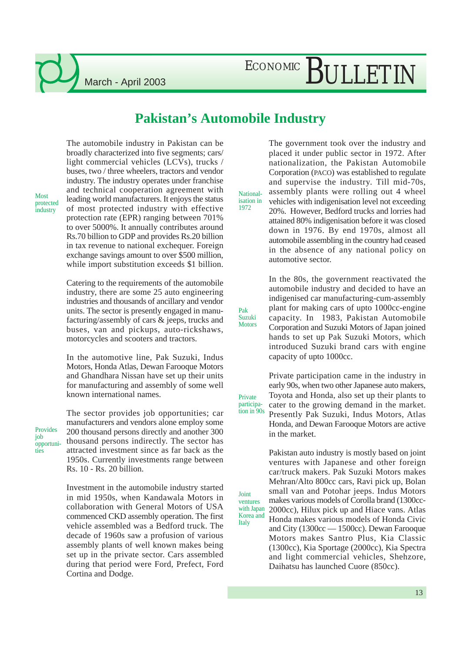## ECONOMIC BULLETIN

#### **Pakistan's Automobile Industry**

Nationalisation in 1972

Private

Pak Suzuki **Motors** 

Joint ventures

Italy

The automobile industry in Pakistan can be broadly characterized into five segments; cars/ light commercial vehicles (LCVs), trucks / buses, two / three wheelers, tractors and vendor industry. The industry operates under franchise and technical cooperation agreement with leading world manufacturers. It enjoys the status of most protected industry with effective protection rate (EPR) ranging between 701% to over 5000%. It annually contributes around Rs.70 billion to GDP and provides Rs.20 billion in tax revenue to national exchequer. Foreign exchange savings amount to over \$500 million, while import substitution exceeds \$1 billion.

Catering to the requirements of the automobile industry, there are some 25 auto engineering industries and thousands of ancillary and vendor units. The sector is presently engaged in manufacturing/assembly of cars & jeeps, trucks and buses, van and pickups, auto-rickshaws, motorcycles and scooters and tractors.

In the automotive line, Pak Suzuki, Indus Motors, Honda Atlas, Dewan Farooque Motors and Ghandhara Nissan have set up their units for manufacturing and assembly of some well known international names.

Provides job opportunities

Most protected industry

> The sector provides job opportunities; car manufacturers and vendors alone employ some 200 thousand persons directly and another 300 thousand persons indirectly. The sector has attracted investment since as far back as the 1950s. Currently investments range between Rs. 10 - Rs. 20 billion.

Investment in the automobile industry started in mid 1950s, when Kandawala Motors in collaboration with General Motors of USA commenced CKD assembly operation. The first vehicle assembled was a Bedford truck. The decade of 1960s saw a profusion of various assembly plants of well known makes being set up in the private sector. Cars assembled during that period were Ford, Prefect, Ford Cortina and Dodge.

The government took over the industry and placed it under public sector in 1972. After nationalization, the Pakistan Automobile Corporation (PACO) was established to regulate and supervise the industry. Till mid-70s, assembly plants were rolling out 4 wheel vehicles with indigenisation level not exceeding 20%. However, Bedford trucks and lorries had attained 80% indigenisation before it was closed down in 1976. By end 1970s, almost all automobile assembling in the country had ceased in the absence of any national policy on automotive sector.

In the 80s, the government reactivated the automobile industry and decided to have an indigenised car manufacturing-cum-assembly plant for making cars of upto 1000cc-engine capacity. In 1983, Pakistan Automobile Corporation and Suzuki Motors of Japan joined hands to set up Pak Suzuki Motors, which introduced Suzuki brand cars with engine capacity of upto 1000cc.

Private participation came in the industry in early 90s, when two other Japanese auto makers, Toyota and Honda, also set up their plants to cater to the growing demand in the market. Presently Pak Suzuki, Indus Motors, Atlas Honda, and Dewan Farooque Motors are active in the market. participation in 90s

Pakistan auto industry is mostly based on joint ventures with Japanese and other foreign car/truck makers. Pak Suzuki Motors makes Mehran/Alto 800cc cars, Ravi pick up, Bolan small van and Potohar jeeps. Indus Motors makes various models of Corolla brand (1300cc-2000cc), Hilux pick up and Hiace vans. Atlas Honda makes various models of Honda Civic and City (1300cc — 1500cc). Dewan Farooque Motors makes Santro Plus, Kia Classic (1300cc), Kia Sportage (2000cc), Kia Spectra and light commercial vehicles, Shehzore, with Japan Korea and

Daihatsu has launched Cuore (850cc).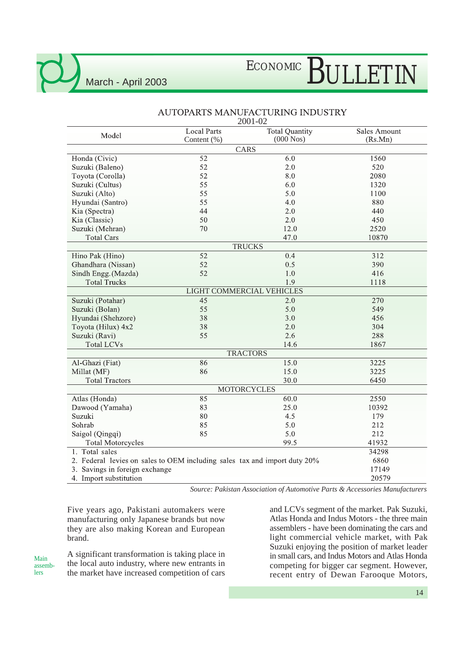# ECONOMIC BULLETIN

| Model                                                                     | <b>Local Parts</b>        | <b>Total Quantity</b> | <b>Sales Amount</b> |
|---------------------------------------------------------------------------|---------------------------|-----------------------|---------------------|
|                                                                           | Content (%)               | $(000$ Nos)           | (Rs.Mn)             |
|                                                                           |                           | CARS                  |                     |
| Honda (Civic)                                                             | 52                        | 6.0                   | 1560                |
| Suzuki (Baleno)                                                           | 52                        | 2.0                   | 520                 |
| Toyota (Corolla)                                                          | 52                        | 8.0                   | 2080                |
| Suzuki (Cultus)                                                           | 55                        | 6.0                   | 1320                |
| Suzuki (Alto)                                                             | 55                        | 5.0                   | 1100                |
| Hyundai (Santro)                                                          | 55                        | 4.0                   | 880                 |
| Kia (Spectra)                                                             | 44                        | 2.0                   | 440                 |
| Kia (Classic)                                                             | 50                        | 2.0                   | 450                 |
| Suzuki (Mehran)                                                           | 70                        | 12.0                  | 2520                |
| <b>Total Cars</b>                                                         |                           | 47.0                  | 10870               |
|                                                                           |                           | <b>TRUCKS</b>         |                     |
| Hino Pak (Hino)                                                           | 52                        | 0.4                   | 312                 |
| Ghandhara (Nissan)                                                        | 52                        | 0.5                   | 390                 |
| Sindh Engg. (Mazda)                                                       | 52                        | $1.0\,$               | 416                 |
| <b>Total Trucks</b>                                                       |                           | 1.9                   | 1118                |
|                                                                           | LIGHT COMMERCIAL VEHICLES |                       |                     |
| Suzuki (Potahar)                                                          | $\overline{45}$           | 2.0                   | 270                 |
| Suzuki (Bolan)                                                            | 55                        | 5.0                   | 549                 |
| Hyundai (Shehzore)                                                        | 38                        | 3.0                   | 456                 |
| Toyota (Hilux) 4x2                                                        | 38                        | 2.0                   | 304                 |
| Suzuki (Ravi)                                                             | 55                        | 2.6                   | 288                 |
| <b>Total LCVs</b>                                                         |                           | 14.6                  | 1867                |
|                                                                           |                           | <b>TRACTORS</b>       |                     |
| Al-Ghazi (Fiat)                                                           | 86                        | 15.0                  | 3225                |
| Millat (MF)                                                               | 86                        | 15.0                  | 3225                |
| <b>Total Tractors</b>                                                     |                           | 30.0                  | 6450                |
|                                                                           |                           | <b>MOTORCYCLES</b>    |                     |
| Atlas (Honda)                                                             | 85                        | 60.0                  | 2550                |
| Dawood (Yamaha)                                                           | 83                        | 25.0                  | 10392               |
| Suzuki                                                                    | 80                        | 4.5                   | 179                 |
| Sohrab                                                                    | 85                        | 5.0                   | 212                 |
| Saigol (Qingqi)                                                           | 85                        | 5.0                   | 212                 |
| <b>Total Motorcycles</b>                                                  |                           | 99.5                  | 41932               |
| 1. Total sales                                                            |                           |                       | 34298               |
| 2. Federal levies on sales to OEM including sales tax and import duty 20% |                           |                       | 6860                |
| 3. Savings in foreign exchange                                            |                           |                       | 17149               |
| 4. Import substitution                                                    | 20579                     |                       |                     |

#### AUTOPARTS MANUFACTURING INDUSTRY 2001-02

*Source: Pakistan Association of Automotive Parts & Accessories Manufacturers*

Five years ago, Pakistani automakers were manufacturing only Japanese brands but now they are also making Korean and European brand.

Main assemblers

A significant transformation is taking place in the local auto industry, where new entrants in the market have increased competition of cars

and LCVs segment of the market. Pak Suzuki, Atlas Honda and Indus Motors - the three main assemblers - have been dominating the cars and light commercial vehicle market, with Pak Suzuki enjoying the position of market leader in small cars, and Indus Motors and Atlas Honda competing for bigger car segment. However, recent entry of Dewan Farooque Motors,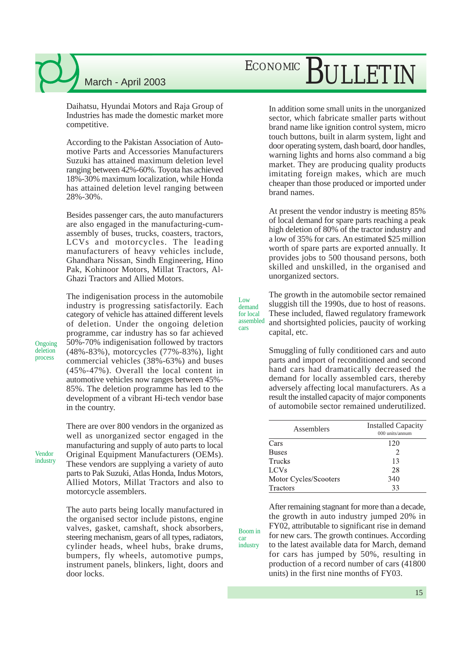Daihatsu, Hyundai Motors and Raja Group of Industries has made the domestic market more competitive.

According to the Pakistan Association of Automotive Parts and Accessories Manufacturers Suzuki has attained maximum deletion level ranging between 42%-60%. Toyota has achieved 18%-30% maximum localization, while Honda has attained deletion level ranging between 28%-30%.

Besides passenger cars, the auto manufacturers are also engaged in the manufacturing-cumassembly of buses, trucks, coasters, tractors, LCVs and motorcycles. The leading manufacturers of heavy vehicles include, Ghandhara Nissan, Sindh Engineering, Hino Pak, Kohinoor Motors, Millat Tractors, Al-Ghazi Tractors and Allied Motors.

The indigenisation process in the automobile industry is progressing satisfactorily. Each category of vehicle has attained different levels of deletion. Under the ongoing deletion programme, car industry has so far achieved 50%-70% indigenisation followed by tractors (48%-83%), motorcycles (77%-83%), light commercial vehicles (38%-63%) and buses (45%-47%). Overall the local content in automotive vehicles now ranges between 45%- 85%. The deletion programme has led to the development of a vibrant Hi-tech vendor base in the country.

**Ongoing** deletion process

Vendor

There are over 800 vendors in the organized as well as unorganized sector engaged in the manufacturing and supply of auto parts to local Original Equipment Manufacturers (OEMs). These vendors are supplying a variety of auto parts to Pak Suzuki, Atlas Honda, Indus Motors, Allied Motors, Millat Tractors and also to motorcycle assemblers. industry

> The auto parts being locally manufactured in the organised sector include pistons, engine valves, gasket, camshaft, shock absorbers, steering mechanism, gears of all types, radiators, cylinder heads, wheel hubs, brake drums, bumpers, fly wheels, automotive pumps, instrument panels, blinkers, light, doors and door locks.

# ECONOMIC BULLETIN

In addition some small units in the unorganized sector, which fabricate smaller parts without brand name like ignition control system, micro touch buttons, built in alarm system, light and door operating system, dash board, door handles, warning lights and horns also command a big market. They are producing quality products imitating foreign makes, which are much cheaper than those produced or imported under brand names.

At present the vendor industry is meeting 85% of local demand for spare parts reaching a peak high deletion of 80% of the tractor industry and a low of 35% for cars. An estimated \$25 million worth of spare parts are exported annually. It provides jobs to 500 thousand persons, both skilled and unskilled, in the organised and unorganized sectors.

The growth in the automobile sector remained sluggish till the 1990s, due to host of reasons. These included, flawed regulatory framework and shortsighted policies, paucity of working capital, etc. assembled

> Smuggling of fully conditioned cars and auto parts and import of reconditioned and second hand cars had dramatically decreased the demand for locally assembled cars, thereby adversely affecting local manufacturers. As a result the installed capacity of major components of automobile sector remained underutilized.

| Assemblers            | <b>Installed Capacity</b><br>000 units/annum |  |  |
|-----------------------|----------------------------------------------|--|--|
| Cars                  | 120                                          |  |  |
| <b>Buses</b>          | 2                                            |  |  |
| <b>Trucks</b>         | 13                                           |  |  |
| <b>LCVs</b>           | 28                                           |  |  |
| Motor Cycles/Scooters | 340                                          |  |  |
| Tractors              | 33                                           |  |  |

After remaining stagnant for more than a decade, the growth in auto industry jumped 20% in FY02, attributable to significant rise in demand for new cars. The growth continues. According to the latest available data for March, demand for cars has jumped by 50%, resulting in production of a record number of cars (41800 units) in the first nine months of FY03.

Boom in car industry

Low demand for local

cars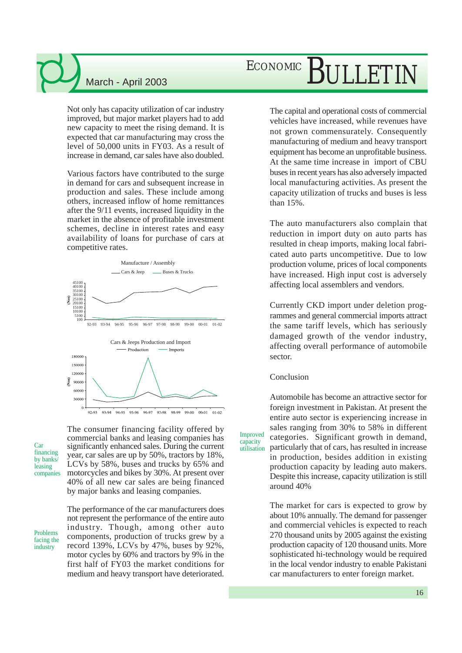Not only has capacity utilization of car industry improved, but major market players had to add new capacity to meet the rising demand. It is expected that car manufacturing may cross the level of 50,000 units in FY03. As a result of increase in demand, car sales have also doubled.

Various factors have contributed to the surge in demand for cars and subsequent increase in production and sales. These include among others, increased inflow of home remittances after the 9/11 events, increased liquidity in the market in the absence of profitable investment schemes, decline in interest rates and easy availability of loans for purchase of cars at competitive rates.



 $93-94$  94-95 95-96 96-97 97-98 98-99 99-00 00-01 01-02  $92 - 93$ 

Car financing by banks leasing companies The consumer financing facility offered by commercial banks and leasing companies has significantly enhanced sales. During the current year, car sales are up by 50%, tractors by 18%, LCVs by 58%, buses and trucks by 65% and motorcycles and bikes by 30%. At present over 40% of all new car sales are being financed by major banks and leasing companies.

Problems facing the industry

The performance of the car manufacturers does not represent the performance of the entire auto industry. Though, among other auto components, production of trucks grew by a record 139%, LCVs by 47%, buses by 92%, motor cycles by 60% and tractors by 9% in the first half of FY03 the market conditions for medium and heavy transport have deteriorated.

## ECONOMIC BULLETIN

The capital and operational costs of commercial vehicles have increased, while revenues have not grown commensurately. Consequently manufacturing of medium and heavy transport equipment has become an unprofitable business. At the same time increase in import of CBU buses in recent years has also adversely impacted local manufacturing activities. As present the capacity utilization of trucks and buses is less than 15%.

The auto manufacturers also complain that reduction in import duty on auto parts has resulted in cheap imports, making local fabricated auto parts uncompetitive. Due to low production volume, prices of local components have increased. High input cost is adversely affecting local assemblers and vendors.

Currently CKD import under deletion programmes and general commercial imports attract the same tariff levels, which has seriously damaged growth of the vendor industry, affecting overall performance of automobile sector.

#### Conclusion

Improved capacity utilisation

Automobile has become an attractive sector for foreign investment in Pakistan. At present the entire auto sector is experiencing increase in sales ranging from 30% to 58% in different categories. Significant growth in demand, particularly that of cars, has resulted in increase in production, besides addition in existing production capacity by leading auto makers. Despite this increase, capacity utilization is still around 40%

The market for cars is expected to grow by about 10% annually. The demand for passenger and commercial vehicles is expected to reach 270 thousand units by 2005 against the existing production capacity of 120 thousand units. More sophisticated hi-technology would be required in the local vendor industry to enable Pakistani car manufacturers to enter foreign market.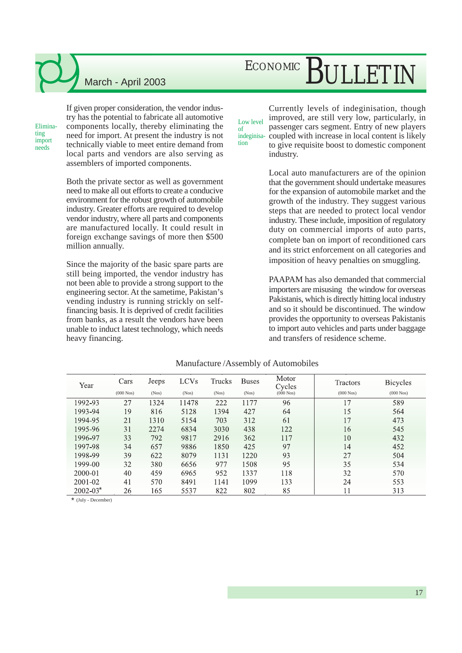## ECONOMIC BULLETIN

Eliminating import needs

If given proper consideration, the vendor industry has the potential to fabricate all automotive components locally, thereby eliminating the need for import. At present the industry is not technically viable to meet entire demand from local parts and vendors are also serving as assemblers of imported components.

Both the private sector as well as government need to make all out efforts to create a conducive environment for the robust growth of automobile industry. Greater efforts are required to develop vendor industry, where all parts and components are manufactured locally. It could result in foreign exchange savings of more then \$500 million annually.

Since the majority of the basic spare parts are still being imported, the vendor industry has not been able to provide a strong support to the engineering sector. At the sametime, Pakistan's vending industry is running strickly on selffinancing basis. It is deprived of credit facilities from banks, as a result the vendors have been unable to induct latest technology, which needs heavy financing.

Low level indeginisa-Currently levels of indeginisation, though improved, are still very low, particularly, in passenger cars segment. Entry of new players coupled with increase in local content is likely to give requisite boost to domestic component industry.

> Local auto manufacturers are of the opinion that the government should undertake measures for the expansion of automobile market and the growth of the industry. They suggest various steps that are needed to protect local vendor industry. These include, imposition of regulatory duty on commercial imports of auto parts, complete ban on import of reconditioned cars and its strict enforcement on all categories and imposition of heavy penalties on smuggling.

> PAAPAM has also demanded that commercial importers are misusing the window for overseas Pakistanis, which is directly hitting local industry and so it should be discontinued. The window provides the opportunity to overseas Pakistanis to import auto vehicles and parts under baggage and transfers of residence scheme.

| Year         | Cars        | Jeeps | <b>LCVs</b> | Trucks | <b>Buses</b> | Motor<br>Cycles | Tractors    | <b>Bicycles</b> |
|--------------|-------------|-------|-------------|--------|--------------|-----------------|-------------|-----------------|
|              | $(000$ Nos) | (Nos) | (Nos)       | (Nos)  | (Nos)        | $(000$ Nos $)$  | $(000$ Nos) | $(000$ Nos)     |
| 1992-93      | 27          | 1324  | 11478       | 222    | 1177         | 96              | 17          | 589             |
| 1993-94      | 19          | 816   | 5128        | 1394   | 427          | 64              | 15          | 564             |
| 1994-95      | 21          | 1310  | 5154        | 703    | 312          | 61              | 17          | 473             |
| 1995-96      | 31          | 2274  | 6834        | 3030   | 438          | 122             | 16          | 545             |
| 1996-97      | 33          | 792   | 9817        | 2916   | 362          | 117             | 10          | 432             |
| 1997-98      | 34          | 657   | 9886        | 1850   | 425          | 97              | 14          | 452             |
| 1998-99      | 39          | 622   | 8079        | 1131   | 1220         | 93              | 27          | 504             |
| 1999-00      | 32          | 380   | 6656        | 977    | 1508         | 95              | 35          | 534             |
| 2000-01      | 40          | 459   | 6965        | 952    | 1337         | 118             | 32          | 570             |
| $2001 - 02$  | 41          | 570   | 8491        | 1141   | 1099         | 133             | 24          | 553             |
| $2002 - 03*$ | 26          | 165   | 5537        | 822    | 802          | 85              | 11          | 313             |

#### Manufacture /Assembly of Automobiles

of

tion

\* (July - December)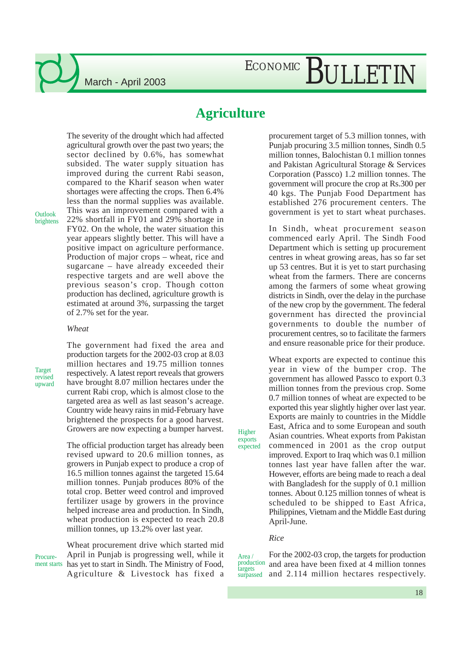#### **Agriculture**

The severity of the drought which had affected agricultural growth over the past two years; the sector declined by 0.6%, has somewhat subsided. The water supply situation has improved during the current Rabi season, compared to the Kharif season when water shortages were affecting the crops. Then 6.4% less than the normal supplies was available. This was an improvement compared with a 22% shortfall in FY01 and 29% shortage in FY02. On the whole, the water situation this year appears slightly better. This will have a positive impact on agriculture performance. Production of major crops – wheat, rice and sugarcane – have already exceeded their

Outlook brightens respective targets and are well above the previous season's crop. Though cotton production has declined, agriculture growth is estimated at around 3%, surpassing the target of 2.7% set for the year.

#### *Wheat*

Target revised upward The government had fixed the area and production targets for the 2002-03 crop at 8.03 million hectares and 19.75 million tonnes respectively. A latest report reveals that growers have brought 8.07 million hectares under the current Rabi crop, which is almost close to the targeted area as well as last season's acreage. Country wide heavy rains in mid-February have brightened the prospects for a good harvest. Growers are now expecting a bumper harvest.

The official production target has already been revised upward to 20.6 million tonnes, as growers in Punjab expect to produce a crop of 16.5 million tonnes against the targeted 15.64 million tonnes. Punjab produces 80% of the total crop. Better weed control and improved fertilizer usage by growers in the province helped increase area and production. In Sindh, wheat production is expected to reach 20.8 million tonnes, up 13.2% over last year.

**Procure** 

Wheat procurement drive which started mid April in Punjab is progressing well, while it ment starts has yet to start in Sindh. The Ministry of Food, Agriculture & Livestock has fixed a procurement target of 5.3 million tonnes, with Punjab procuring 3.5 million tonnes, Sindh 0.5 million tonnes, Balochistan 0.1 million tonnes and Pakistan Agricultural Storage & Services Corporation (Passco) 1.2 million tonnes. The government will procure the crop at Rs.300 per 40 kgs. The Punjab Food Department has established 276 procurement centers. The government is yet to start wheat purchases.

In Sindh, wheat procurement season commenced early April. The Sindh Food Department which is setting up procurement centres in wheat growing areas, has so far set up 53 centres. But it is yet to start purchasing wheat from the farmers. There are concerns among the farmers of some wheat growing districts in Sindh, over the delay in the purchase of the new crop by the government. The federal government has directed the provincial governments to double the number of procurement centres, so to facilitate the farmers and ensure reasonable price for their produce.

Wheat exports are expected to continue this year in view of the bumper crop. The government has allowed Passco to export 0.3 million tonnes from the previous crop. Some 0.7 million tonnes of wheat are expected to be exported this year slightly higher over last year. Exports are mainly to countries in the Middle East, Africa and to some European and south Asian countries. Wheat exports from Pakistan commenced in 2001 as the crop output improved. Export to Iraq which was 0.1 million tonnes last year have fallen after the war. However, efforts are being made to reach a deal with Bangladesh for the supply of 0.1 million tonnes. About 0.125 million tonnes of wheat is scheduled to be shipped to East Africa, Philippines, Vietnam and the Middle East during April-June.

#### *Rice*

Higher exports expected

For the 2002-03 crop, the targets for production and area have been fixed at 4 million tonnes and 2.114 million hectares respectively. Area / production targets surpassed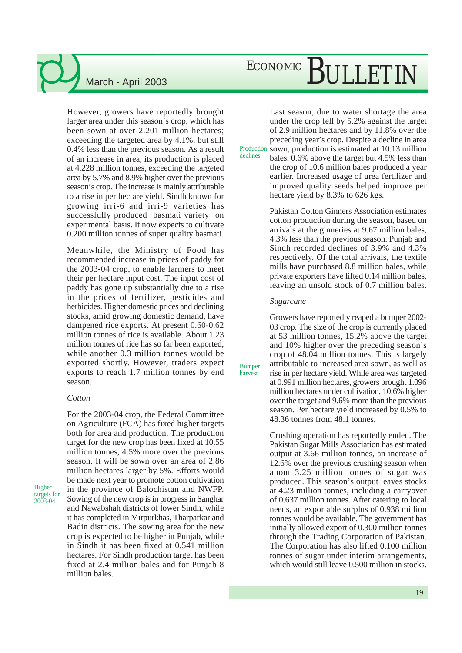# ECONOMIC BULLETIN

However, growers have reportedly brought larger area under this season's crop, which has been sown at over 2.201 million hectares; exceeding the targeted area by 4.1%, but still 0.4% less than the previous season. As a result of an increase in area, its production is placed at 4.228 million tonnes, exceeding the targeted area by 5.7% and 8.9% higher over the previous season's crop. The increase is mainly attributable to a rise in per hectare yield. Sindh known for growing irri-6 and irri-9 varieties has successfully produced basmati variety on experimental basis. It now expects to cultivate 0.200 million tonnes of super quality basmati.

Meanwhile, the Ministry of Food has recommended increase in prices of paddy for the 2003-04 crop, to enable farmers to meet their per hectare input cost. The input cost of paddy has gone up substantially due to a rise in the prices of fertilizer, pesticides and herbicides. Higher domestic prices and declining stocks, amid growing domestic demand, have dampened rice exports. At present 0.60-0.62 million tonnes of rice is available. About 1.23 million tonnes of rice has so far been exported, while another 0.3 million tonnes would be exported shortly. However, traders expect exports to reach 1.7 million tonnes by end season.

#### *Cotton*

Higher targets for 2003-04

For the 2003-04 crop, the Federal Committee on Agriculture (FCA) has fixed higher targets both for area and production. The production target for the new crop has been fixed at 10.55 million tonnes, 4.5% more over the previous season. It will be sown over an area of 2.86 million hectares larger by 5%. Efforts would be made next year to promote cotton cultivation in the province of Balochistan and NWFP. Sowing of the new crop is in progress in Sanghar and Nawabshah districts of lower Sindh, while it has completed in Mirpurkhas, Tharparkar and Badin districts. The sowing area for the new crop is expected to be higher in Punjab, while in Sindh it has been fixed at 0.541 million hectares. For Sindh production target has been fixed at 2.4 million bales and for Punjab 8 million bales.

Last season, due to water shortage the area under the crop fell by 5.2% against the target of 2.9 million hectares and by 11.8% over the preceding year's crop. Despite a decline in area sown, production is estimated at 10.13 million Production

bales, 0.6% above the target but 4.5% less than the crop of 10.6 million bales produced a year earlier. Increased usage of urea fertilizer and improved quality seeds helped improve per hectare yield by 8.3% to 626 kgs.

Pakistan Cotton Ginners Association estimates cotton production during the season, based on arrivals at the ginneries at 9.67 million bales, 4.3% less than the previous season. Punjab and Sindh recorded declines of 3.9% and 4.3% respectively. Of the total arrivals, the textile mills have purchased 8.8 million bales, while private exporters have lifted 0.14 million bales, leaving an unsold stock of 0.7 million bales.

#### *Sugarcane*

declines

Bumper harvest

Growers have reportedly reaped a bumper 2002- 03 crop. The size of the crop is currently placed at 53 million tonnes, 15.2% above the target and 10% higher over the preceding season's crop of 48.04 million tonnes. This is largely attributable to increased area sown, as well as rise in per hectare yield. While area was targeted at 0.991 million hectares, growers brought 1.096 million hectares under cultivation, 10.6% higher over the target and 9.6% more than the previous season. Per hectare yield increased by 0.5% to 48.36 tonnes from 48.1 tonnes.

Crushing operation has reportedly ended. The Pakistan Sugar Mills Association has estimated output at 3.66 million tonnes, an increase of 12.6% over the previous crushing season when about 3.25 million tonnes of sugar was produced. This season's output leaves stocks at 4.23 million tonnes, including a carryover of 0.637 million tonnes. After catering to local needs, an exportable surplus of 0.938 million tonnes would be available. The government has initially allowed export of 0.300 million tonnes through the Trading Corporation of Pakistan. The Corporation has also lifted 0.100 million tonnes of sugar under interim arrangements, which would still leave 0.500 million in stocks.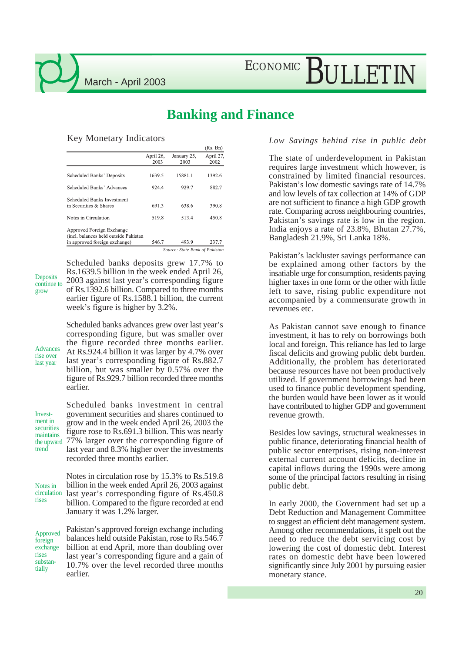## ECONOMIC BULLETIN

#### **Banking and Finance**

#### Key Monetary Indicators

|                                                                                                      |                   |                     | (KS. BI)          |
|------------------------------------------------------------------------------------------------------|-------------------|---------------------|-------------------|
|                                                                                                      | April 26,<br>2003 | January 25,<br>2003 | April 27,<br>2002 |
| Scheduled Banks' Deposits                                                                            | 1639.5            | 15881.1             | 1392.6            |
| Scheduled Banks' Advances                                                                            | 924.4             | 929.7               | 882.7             |
| Scheduled Banks Investment<br>in Securities & Shares                                                 | 691.3             | 638.6               | 390.8             |
| Notes in Circulation                                                                                 | 519.8             | 513.4               | 450.8             |
| Approved Foreign Exchange<br>(incl. balances held outside Pakistan)<br>in approved foreign exchange) | 546.7             | 493.9               | 237.7             |
|                                                                                                      |                   |                     |                   |

*Source: State Bank of Pakistan*

**Deposits** continue to grow

Scheduled banks deposits grew 17.7% to Rs.1639.5 billion in the week ended April 26, 2003 against last year's corresponding figure of Rs.1392.6 billion. Compared to three months earlier figure of Rs.1588.1 billion, the current week's figure is higher by 3.2%.

Scheduled banks advances grew over last year's corresponding figure, but was smaller over the figure recorded three months earlier. At Rs.924.4 billion it was larger by 4.7% over last year's corresponding figure of Rs.882.7 billion, but was smaller by 0.57% over the figure of Rs.929.7 billion recorded three months earlier. Advances rise over last year

Investment in securities maintains the upward trend

Scheduled banks investment in central government securities and shares continued to grow and in the week ended April 26, 2003 the figure rose to Rs.691.3 billion. This was nearly 77% larger over the corresponding figure of last year and 8.3% higher over the investments recorded three months earlier.

Notes in circulation rises

Notes in circulation rose by 15.3% to Rs.519.8 billion in the week ended April 26, 2003 against last year's corresponding figure of Rs.450.8 billion. Compared to the figure recorded at end January it was 1.2% larger.

Pakistan's approved foreign exchange including balances held outside Pakistan, rose to Rs.546.7 billion at end April, more than doubling over last year's corresponding figure and a gain of 10.7% over the level recorded three months earlier. Approved foreign exchange rises substantially

#### *Low Savings behind rise in public debt*

The state of underdevelopment in Pakistan requires large investment which however, is constrained by limited financial resources. Pakistan's low domestic savings rate of 14.7% and low levels of tax collection at 14% of GDP are not sufficient to finance a high GDP growth rate. Comparing across neighbouring countries, Pakistan's savings rate is low in the region. India enjoys a rate of 23.8%, Bhutan 27.7%, Bangladesh 21.9%, Sri Lanka 18%.

Pakistan's lackluster savings performance can be explained among other factors by the insatiable urge for consumption, residents paying higher taxes in one form or the other with little left to save, rising public expenditure not accompanied by a commensurate growth in revenues etc.

As Pakistan cannot save enough to finance investment, it has to rely on borrowings both local and foreign. This reliance has led to large fiscal deficits and growing public debt burden. Additionally, the problem has deteriorated because resources have not been productively utilized. If government borrowings had been used to finance public development spending, the burden would have been lower as it would have contributed to higher GDP and government revenue growth.

Besides low savings, structural weaknesses in public finance, deteriorating financial health of public sector enterprises, rising non-interest external current account deficits, decline in capital inflows during the 1990s were among some of the principal factors resulting in rising public debt.

In early 2000, the Government had set up a Debt Reduction and Management Committee to suggest an efficient debt management system. Among other recommendations, it spelt out the need to reduce the debt servicing cost by lowering the cost of domestic debt. Interest rates on domestic debt have been lowered significantly since July 2001 by pursuing easier monetary stance.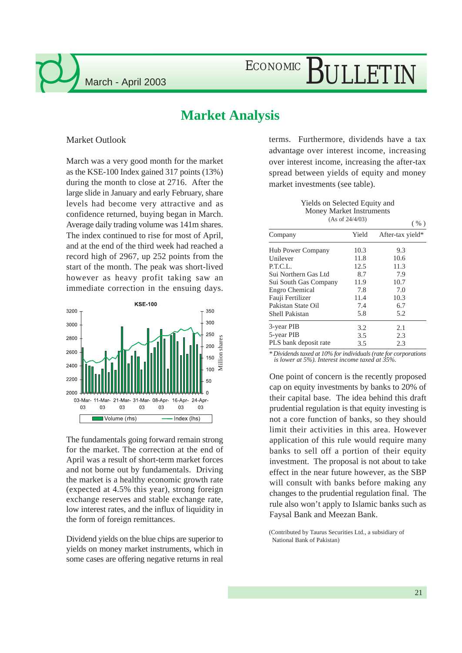#### **Market Analysis**

Market Outlook

March was a very good month for the market as the KSE-100 Index gained 317 points (13%) during the month to close at 2716. After the large slide in January and early February, share levels had become very attractive and as confidence returned, buying began in March. Average daily trading volume was 141m shares. The index continued to rise for most of April, and at the end of the third week had reached a record high of 2967, up 252 points from the start of the month. The peak was short-lived however as heavy profit taking saw an immediate correction in the ensuing days.



The fundamentals going forward remain strong for the market. The correction at the end of April was a result of short-term market forces and not borne out by fundamentals. Driving the market is a healthy economic growth rate (expected at 4.5% this year), strong foreign exchange reserves and stable exchange rate, low interest rates, and the influx of liquidity in the form of foreign remittances.

Dividend yields on the blue chips are superior to yields on money market instruments, which in some cases are offering negative returns in real

terms. Furthermore, dividends have a tax advantage over interest income, increasing over interest income, increasing the after-tax spread between yields of equity and money market investments (see table).

> Yields on Selected Equity and Money Market Instruments (As of 24/4/03)

 $( 0/2 )$ 

|                          |       | $\cdot$ $\cdot$  |
|--------------------------|-------|------------------|
| Company                  | Yield | After-tax yield* |
| <b>Hub Power Company</b> | 10.3  | 9.3              |
| Unilever                 | 11.8  | 10.6             |
| P.T.C.L.                 | 12.5  | 11.3             |
| Sui Northern Gas Ltd     | 8.7   | 7.9              |
| Sui South Gas Company    | 11.9  | 10.7             |
| Engro Chemical           | 7.8   | 7.0              |
| Fauji Fertilizer         | 11.4  | 10.3             |
| Pakistan State Oil       | 7.4   | 6.7              |
| <b>Shell Pakistan</b>    | 5.8   | 5.2              |
| 3-year PIB               | 3.2   | 2.1              |
| 5-year PIB               | 3.5   | 2.3              |
| PLS bank deposit rate    | 3.5   | 2.3              |

*\* Dividends taxed at 10% for individuals (rate for corporations is lower at 5%). Interest income taxed at 35%.*

One point of concern is the recently proposed cap on equity investments by banks to 20% of their capital base. The idea behind this draft prudential regulation is that equity investing is not a core function of banks, so they should limit their activities in this area. However application of this rule would require many banks to sell off a portion of their equity investment. The proposal is not about to take effect in the near future however, as the SBP will consult with banks before making any changes to the prudential regulation final. The rule also won't apply to Islamic banks such as Faysal Bank and Meezan Bank.

(Contributed by Taurus Securities Ltd., a subsidiary of National Bank of Pakistan)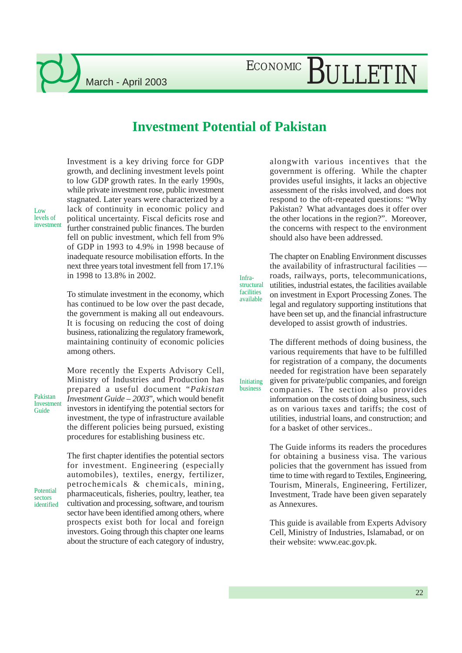#### **Investment Potential of Pakistan**

Infrastructural facilities available

Initiating business

Investment is a key driving force for GDP growth, and declining investment levels point to low GDP growth rates. In the early 1990s, while private investment rose, public investment stagnated. Later years were characterized by a lack of continuity in economic policy and political uncertainty. Fiscal deficits rose and further constrained public finances. The burden fell on public investment, which fell from 9% of GDP in 1993 to 4.9% in 1998 because of inadequate resource mobilisation efforts. In the next three years total investment fell from 17.1% in 1998 to 13.8% in 2002.

To stimulate investment in the economy, which has continued to be low over the past decade, the government is making all out endeavours. It is focusing on reducing the cost of doing business, rationalizing the regulatory framework, maintaining continuity of economic policies among others.

Pakistan Investment Guide

Low levels of investment

> More recently the Experts Advisory Cell, Ministry of Industries and Production has prepared a useful document "*Pakistan Investment Guide – 2003*", which would benefit investors in identifying the potential sectors for investment, the type of infrastructure available the different policies being pursued, existing procedures for establishing business etc.

Potential sectors identified

The first chapter identifies the potential sectors for investment. Engineering (especially automobiles), textiles, energy, fertilizer, petrochemicals & chemicals, mining, pharmaceuticals, fisheries, poultry, leather, tea cultivation and processing, software, and tourism sector have been identified among others, where prospects exist both for local and foreign investors. Going through this chapter one learns about the structure of each category of industry, alongwith various incentives that the government is offering. While the chapter provides useful insights, it lacks an objective assessment of the risks involved, and does not respond to the oft-repeated questions: "Why Pakistan? What advantages does it offer over the other locations in the region?". Moreover, the concerns with respect to the environment should also have been addressed.

The chapter on Enabling Environment discusses the availability of infrastructural facilities –– roads, railways, ports, telecommunications, utilities, industrial estates, the facilities available on investment in Export Processing Zones. The legal and regulatory supporting institutions that have been set up, and the financial infrastructure developed to assist growth of industries.

The different methods of doing business, the various requirements that have to be fulfilled for registration of a company, the documents needed for registration have been separately given for private/public companies, and foreign companies. The section also provides information on the costs of doing business, such as on various taxes and tariffs; the cost of utilities, industrial loans, and construction; and for a basket of other services..

The Guide informs its readers the procedures for obtaining a business visa. The various policies that the government has issued from time to time with regard to Textiles, Engineering, Tourism, Minerals, Engineering, Fertilizer, Investment, Trade have been given separately as Annexures.

This guide is available from Experts Advisory Cell, Ministry of Industries, Islamabad, or on their website: www.eac.gov.pk.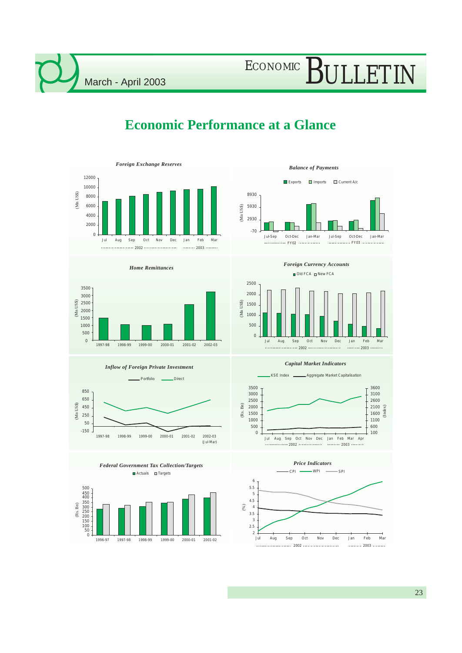### **Economic Performance at a Glance**























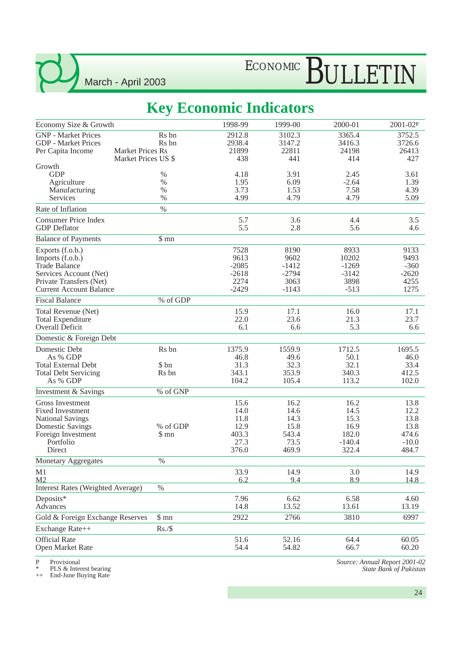# ECONOMIC BULLETIN

### **Key Economic Indicators**

| Economy Size & Growth                                                                                                                                 |                                                       | 1998-99                                                | 1999-00                                                | 2000-01                                                    | 2001-02P                                                  |
|-------------------------------------------------------------------------------------------------------------------------------------------------------|-------------------------------------------------------|--------------------------------------------------------|--------------------------------------------------------|------------------------------------------------------------|-----------------------------------------------------------|
| <b>GNP</b> - Market Prices<br><b>GDP</b> - Market Prices<br>Per Capita Income                                                                         | Rs bn<br>R <sub>s</sub> bn<br><b>Market Prices Rs</b> | 2912.8<br>2938.4<br>21899                              | 3102.3<br>3147.2<br>22811                              | 3365.4<br>3416.3<br>24198                                  | 3752.5<br>3726.6<br>26413                                 |
| Growth                                                                                                                                                | Market Prices US \$                                   | 438                                                    | 441                                                    | 414                                                        | 427                                                       |
| <b>GDP</b><br>Agriculture<br>Manufacturing<br>Services                                                                                                | $\%$<br>$\%$<br>$\%$<br>$\%$                          | 4.18<br>1.95<br>3.73<br>4.99                           | 3.91<br>6.09<br>1.53<br>4.79                           | 2.45<br>$-2.64$<br>7.58<br>4.79                            | 3.61<br>1.39<br>4.39<br>5.09                              |
| Rate of Inflation                                                                                                                                     | $\%$                                                  |                                                        |                                                        |                                                            |                                                           |
| <b>Consumer Price Index</b><br><b>GDP</b> Deflator                                                                                                    |                                                       | 5.7<br>5.5                                             | 3.6<br>2.8                                             | 4.4<br>5.6                                                 | 3.5<br>4.6                                                |
| <b>Balance of Payments</b>                                                                                                                            | \$mn                                                  |                                                        |                                                        |                                                            |                                                           |
| Exports (f.o.b.)<br>Imports (f.o.b.)<br><b>Trade Balance</b><br>Services Account (Net)<br>Private Transfers (Net)<br><b>Current Account Balance</b>   |                                                       | 7528<br>9613<br>$-2085$<br>$-2618$<br>2274<br>$-2429$  | 8190<br>9602<br>$-1412$<br>$-2794$<br>3063<br>$-1143$  | 8933<br>10202<br>$-1269$<br>$-3142$<br>3898<br>$-513$      | 9133<br>9493<br>$-360$<br>$-2620$<br>4255<br>1275         |
| <b>Fiscal Balance</b>                                                                                                                                 | % of GDP                                              |                                                        |                                                        |                                                            |                                                           |
| Total Revenue (Net)<br><b>Total Expenditure</b><br>Overall Deficit                                                                                    |                                                       | 15.9<br>22.0<br>6.1                                    | 17.1<br>23.6<br>6.6                                    | 16.0<br>21.3<br>5.3                                        | 17.1<br>23.7<br>6.6                                       |
| Domestic & Foreign Debt                                                                                                                               |                                                       |                                                        |                                                        |                                                            |                                                           |
| Domestic Debt<br>As % GDP<br><b>Total External Debt</b><br><b>Total Debt Servicing</b><br>As % GDP                                                    | Rs bn<br>\$ bn<br>Rs bn                               | 1375.9<br>46.8<br>31.3<br>343.1<br>104.2               | 1559.9<br>49.6<br>32.3<br>353.9<br>105.4               | 1712.5<br>50.1<br>32.1<br>340.3<br>113.2                   | 1695.5<br>46.0<br>33.4<br>412.5<br>102.0                  |
| Investment & Savings                                                                                                                                  | % of GNP                                              |                                                        |                                                        |                                                            |                                                           |
| Gross Investment<br><b>Fixed Investment</b><br><b>National Savings</b><br><b>Domestic Savings</b><br>Foreign Investment<br>Portfolio<br><b>Direct</b> | % of GDP<br>\$mn                                      | 15.6<br>14.0<br>11.8<br>12.9<br>403.3<br>27.3<br>376.0 | 16.2<br>14.6<br>14.3<br>15.8<br>543.4<br>73.5<br>469.9 | 16.2<br>14.5<br>15.3<br>16.9<br>182.0<br>$-140.4$<br>322.4 | 13.8<br>12.2<br>13.8<br>13.8<br>474.6<br>$-10.0$<br>484.7 |
| <b>Monetary Aggregates</b>                                                                                                                            | $\%$                                                  |                                                        |                                                        |                                                            |                                                           |
| M1<br>M2<br><b>Interest Rates (Weighted Average)</b>                                                                                                  | $\%$                                                  | 33.9<br>6.2                                            | 14.9<br>9.4                                            | 3.0<br>8.9                                                 | 14.9<br>14.8                                              |
| Deposits*<br>Advances                                                                                                                                 |                                                       | 7.96<br>14.8                                           | 6.62<br>13.52                                          | 6.58<br>13.61                                              | 4.60<br>13.19                                             |
| Gold & Foreign Exchange Reserves                                                                                                                      | \$mn                                                  | 2922                                                   | 2766                                                   | 3810                                                       | 6997                                                      |
| Exchange Rate++                                                                                                                                       | Rs./\$                                                |                                                        |                                                        |                                                            |                                                           |
| <b>Official Rate</b><br>Open Market Rate                                                                                                              |                                                       | 51.6<br>54.4                                           | 52.16<br>54.82                                         | 64.4<br>66.7                                               | 60.05<br>60.20                                            |

P Provisional

\* PLS & Interest bearing ++ End-June Buying Rate

*Source: Annual Report 2001-02 State Bank of Pakistan*